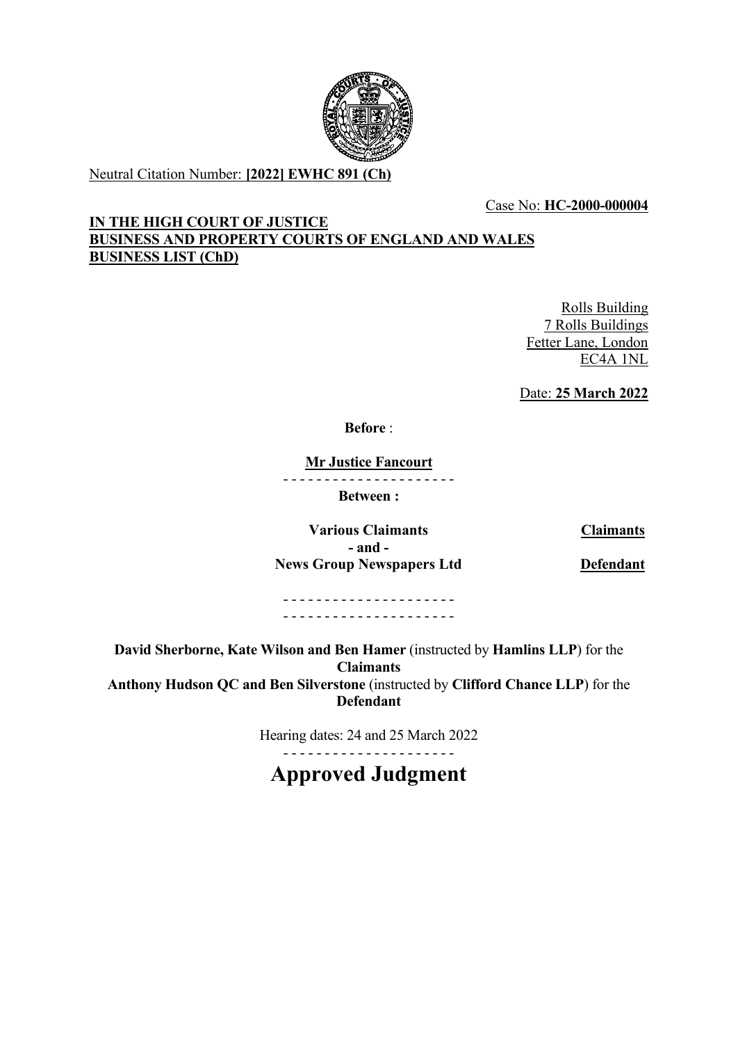

Neutral Citation Number: **[2022] EWHC 891 (Ch)**

## Case No: **HC-2000-000004**

## **IN THE HIGH COURT OF JUSTICE BUSINESS AND PROPERTY COURTS OF ENGLAND AND WALES BUSINESS LIST (ChD)**

Rolls Building 7 Rolls Buildings Fetter Lane, London EC4A 1NL

Date: **25 March 2022**

**Before** :

**Mr Justice Fancourt**

- - - - - - - - - - - - - - - - - - - - -

**Between :**

**Various Claimants Claimants - and - News Group Newspapers Ltd Defendant**

- - - - - - - - - - - - - - - - - - - - - - - - - - - - - - - - - - - - - - - - - -

**David Sherborne, Kate Wilson and Ben Hamer** (instructed by **Hamlins LLP**) for the **Claimants Anthony Hudson QC and Ben Silverstone** (instructed by **Clifford Chance LLP**) for the **Defendant**

> Hearing dates: 24 and 25 March 2022 - - - - - - - - - - - - - - - - - - - - -

**Approved Judgment**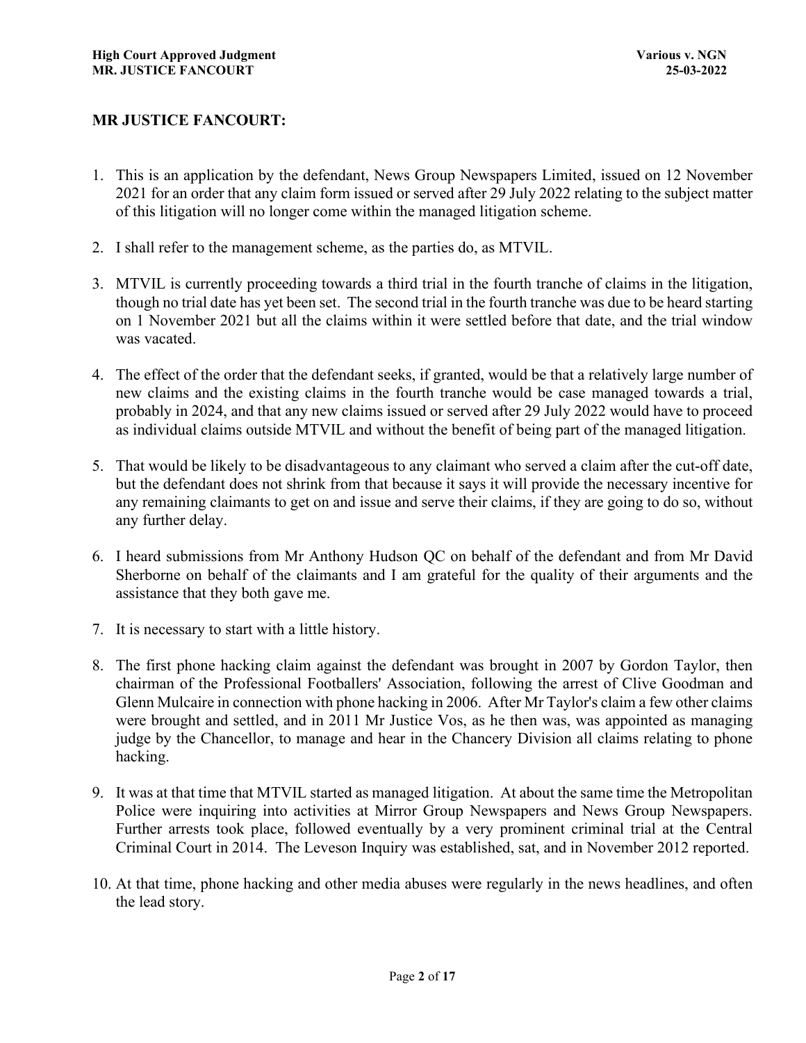## **MR JUSTICE FANCOURT:**

- 1. This is an application by the defendant, News Group Newspapers Limited, issued on 12 November 2021 for an order that any claim form issued or served after 29 July 2022 relating to the subject matter of this litigation will no longer come within the managed litigation scheme.
- 2. I shall refer to the management scheme, as the parties do, as MTVIL.
- 3. MTVIL is currently proceeding towards a third trial in the fourth tranche of claims in the litigation, though no trial date has yet been set. The second trial in the fourth tranche was due to be heard starting on 1 November 2021 but all the claims within it were settled before that date, and the trial window was vacated.
- 4. The effect of the order that the defendant seeks, if granted, would be that a relatively large number of new claims and the existing claims in the fourth tranche would be case managed towards a trial, probably in 2024, and that any new claims issued or served after 29 July 2022 would have to proceed as individual claims outside MTVIL and without the benefit of being part of the managed litigation.
- 5. That would be likely to be disadvantageous to any claimant who served a claim after the cut-off date, but the defendant does not shrink from that because it says it will provide the necessary incentive for any remaining claimants to get on and issue and serve their claims, if they are going to do so, without any further delay.
- 6. I heard submissions from Mr Anthony Hudson QC on behalf of the defendant and from Mr David Sherborne on behalf of the claimants and I am grateful for the quality of their arguments and the assistance that they both gave me.
- 7. It is necessary to start with a little history.
- 8. The first phone hacking claim against the defendant was brought in 2007 by Gordon Taylor, then chairman of the Professional Footballers' Association, following the arrest of Clive Goodman and Glenn Mulcaire in connection with phone hacking in 2006. After Mr Taylor's claim a few other claims were brought and settled, and in 2011 Mr Justice Vos, as he then was, was appointed as managing judge by the Chancellor, to manage and hear in the Chancery Division all claims relating to phone hacking.
- 9. It was at that time that MTVIL started as managed litigation. At about the same time the Metropolitan Police were inquiring into activities at Mirror Group Newspapers and News Group Newspapers. Further arrests took place, followed eventually by a very prominent criminal trial at the Central Criminal Court in 2014. The Leveson Inquiry was established, sat, and in November 2012 reported.
- 10. At that time, phone hacking and other media abuses were regularly in the news headlines, and often the lead story.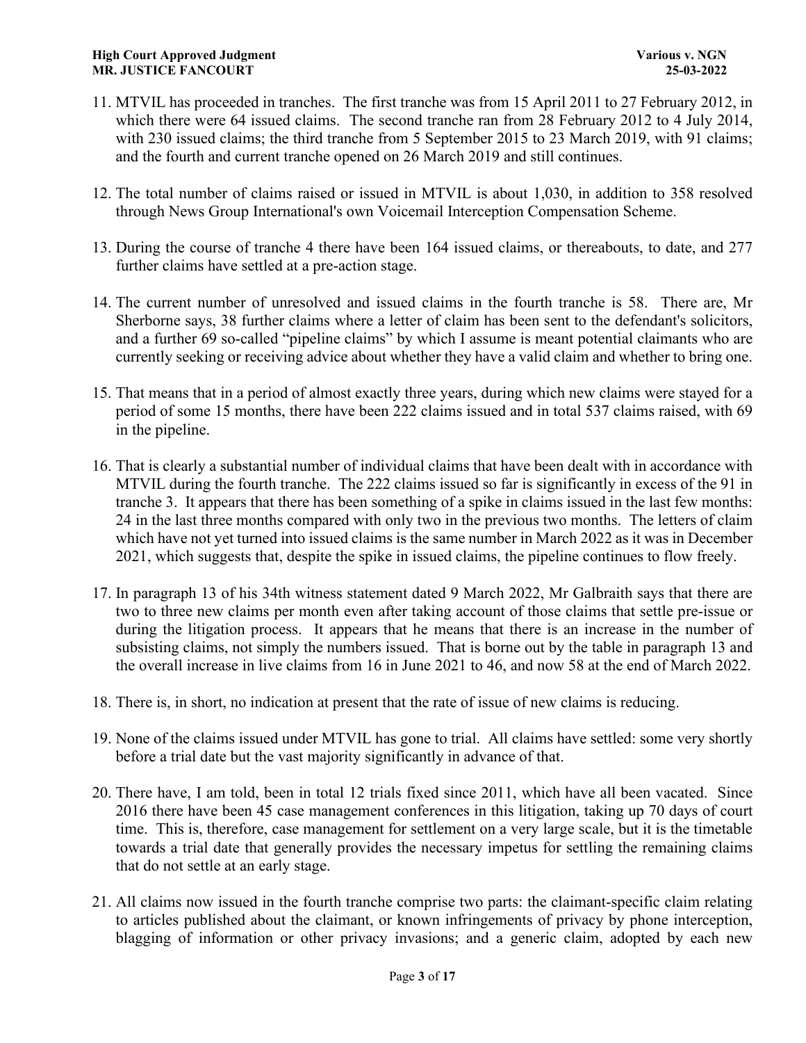- 11. MTVIL has proceeded in tranches. The first tranche was from 15 April 2011 to 27 February 2012, in which there were 64 issued claims. The second tranche ran from 28 February 2012 to 4 July 2014, with 230 issued claims; the third tranche from 5 September 2015 to 23 March 2019, with 91 claims; and the fourth and current tranche opened on 26 March 2019 and still continues.
- 12. The total number of claims raised or issued in MTVIL is about 1,030, in addition to 358 resolved through News Group International's own Voicemail Interception Compensation Scheme.
- 13. During the course of tranche 4 there have been 164 issued claims, or thereabouts, to date, and 277 further claims have settled at a pre-action stage.
- 14. The current number of unresolved and issued claims in the fourth tranche is 58. There are, Mr Sherborne says, 38 further claims where a letter of claim has been sent to the defendant's solicitors, and a further 69 so-called "pipeline claims" by which I assume is meant potential claimants who are currently seeking or receiving advice about whether they have a valid claim and whether to bring one.
- 15. That means that in a period of almost exactly three years, during which new claims were stayed for a period of some 15 months, there have been 222 claims issued and in total 537 claims raised, with 69 in the pipeline.
- 16. That is clearly a substantial number of individual claims that have been dealt with in accordance with MTVIL during the fourth tranche. The 222 claims issued so far is significantly in excess of the 91 in tranche 3. It appears that there has been something of a spike in claims issued in the last few months: 24 in the last three months compared with only two in the previous two months. The letters of claim which have not yet turned into issued claims is the same number in March 2022 as it was in December 2021, which suggests that, despite the spike in issued claims, the pipeline continues to flow freely.
- 17. In paragraph 13 of his 34th witness statement dated 9 March 2022, Mr Galbraith says that there are two to three new claims per month even after taking account of those claims that settle pre-issue or during the litigation process. It appears that he means that there is an increase in the number of subsisting claims, not simply the numbers issued. That is borne out by the table in paragraph 13 and the overall increase in live claims from 16 in June 2021 to 46, and now 58 at the end of March 2022.
- 18. There is, in short, no indication at present that the rate of issue of new claims is reducing.
- 19. None of the claims issued under MTVIL has gone to trial. All claims have settled: some very shortly before a trial date but the vast majority significantly in advance of that.
- 20. There have, I am told, been in total 12 trials fixed since 2011, which have all been vacated. Since 2016 there have been 45 case management conferences in this litigation, taking up 70 days of court time. This is, therefore, case management for settlement on a very large scale, but it is the timetable towards a trial date that generally provides the necessary impetus for settling the remaining claims that do not settle at an early stage.
- 21. All claims now issued in the fourth tranche comprise two parts: the claimant-specific claim relating to articles published about the claimant, or known infringements of privacy by phone interception, blagging of information or other privacy invasions; and a generic claim, adopted by each new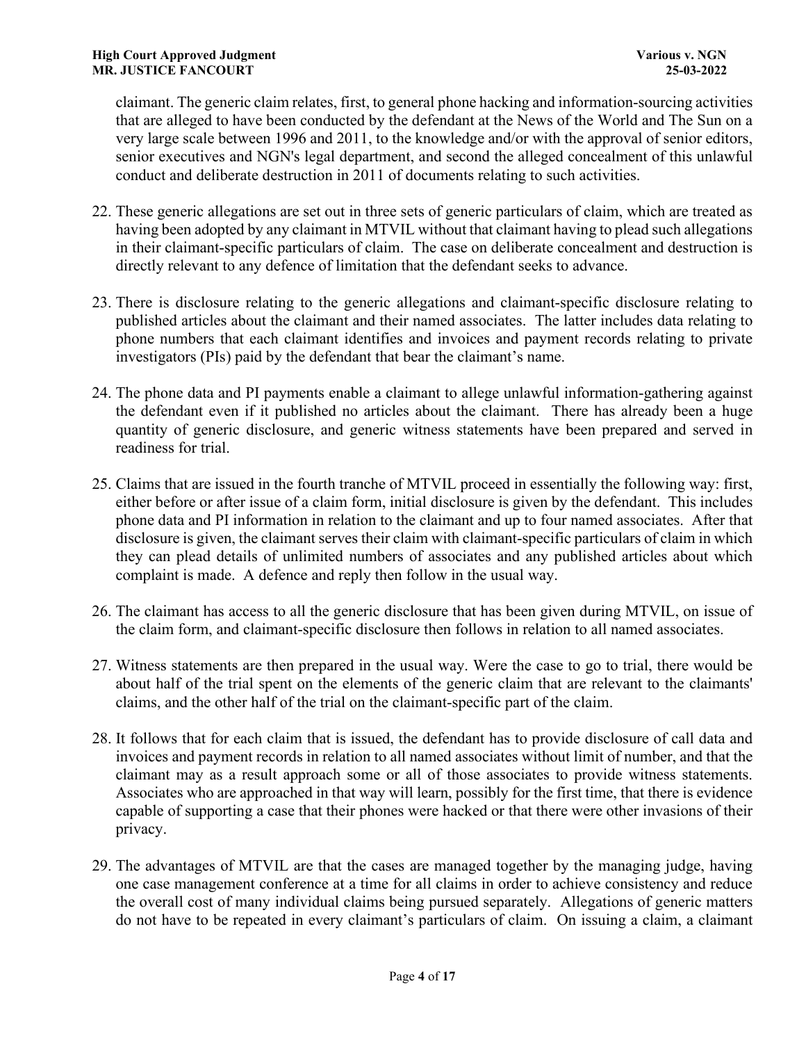claimant. The generic claim relates, first, to general phone hacking and information-sourcing activities that are alleged to have been conducted by the defendant at the News of the World and The Sun on a very large scale between 1996 and 2011, to the knowledge and/or with the approval of senior editors, senior executives and NGN's legal department, and second the alleged concealment of this unlawful conduct and deliberate destruction in 2011 of documents relating to such activities.

- 22. These generic allegations are set out in three sets of generic particulars of claim, which are treated as having been adopted by any claimant in MTVIL without that claimant having to plead such allegations in their claimant-specific particulars of claim. The case on deliberate concealment and destruction is directly relevant to any defence of limitation that the defendant seeks to advance.
- 23. There is disclosure relating to the generic allegations and claimant-specific disclosure relating to published articles about the claimant and their named associates. The latter includes data relating to phone numbers that each claimant identifies and invoices and payment records relating to private investigators (PIs) paid by the defendant that bear the claimant's name.
- 24. The phone data and PI payments enable a claimant to allege unlawful information-gathering against the defendant even if it published no articles about the claimant. There has already been a huge quantity of generic disclosure, and generic witness statements have been prepared and served in readiness for trial.
- 25. Claims that are issued in the fourth tranche of MTVIL proceed in essentially the following way: first, either before or after issue of a claim form, initial disclosure is given by the defendant. This includes phone data and PI information in relation to the claimant and up to four named associates. After that disclosure is given, the claimant serves their claim with claimant-specific particulars of claim in which they can plead details of unlimited numbers of associates and any published articles about which complaint is made. A defence and reply then follow in the usual way.
- 26. The claimant has access to all the generic disclosure that has been given during MTVIL, on issue of the claim form, and claimant-specific disclosure then follows in relation to all named associates.
- 27. Witness statements are then prepared in the usual way. Were the case to go to trial, there would be about half of the trial spent on the elements of the generic claim that are relevant to the claimants' claims, and the other half of the trial on the claimant-specific part of the claim.
- 28. It follows that for each claim that is issued, the defendant has to provide disclosure of call data and invoices and payment records in relation to all named associates without limit of number, and that the claimant may as a result approach some or all of those associates to provide witness statements. Associates who are approached in that way will learn, possibly for the first time, that there is evidence capable of supporting a case that their phones were hacked or that there were other invasions of their privacy.
- 29. The advantages of MTVIL are that the cases are managed together by the managing judge, having one case management conference at a time for all claims in order to achieve consistency and reduce the overall cost of many individual claims being pursued separately. Allegations of generic matters do not have to be repeated in every claimant's particulars of claim. On issuing a claim, a claimant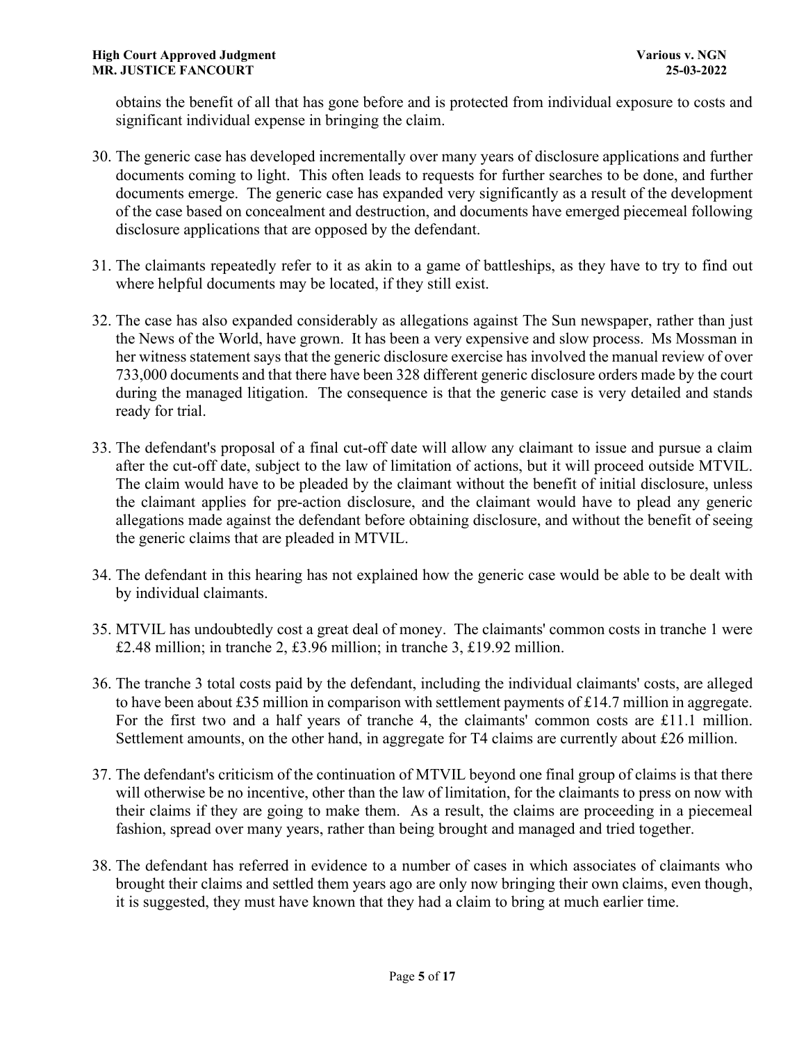obtains the benefit of all that has gone before and is protected from individual exposure to costs and significant individual expense in bringing the claim.

- 30. The generic case has developed incrementally over many years of disclosure applications and further documents coming to light. This often leads to requests for further searches to be done, and further documents emerge. The generic case has expanded very significantly as a result of the development of the case based on concealment and destruction, and documents have emerged piecemeal following disclosure applications that are opposed by the defendant.
- 31. The claimants repeatedly refer to it as akin to a game of battleships, as they have to try to find out where helpful documents may be located, if they still exist.
- 32. The case has also expanded considerably as allegations against The Sun newspaper, rather than just the News of the World, have grown. It has been a very expensive and slow process. Ms Mossman in her witness statement says that the generic disclosure exercise has involved the manual review of over 733,000 documents and that there have been 328 different generic disclosure orders made by the court during the managed litigation. The consequence is that the generic case is very detailed and stands ready for trial.
- 33. The defendant's proposal of a final cut-off date will allow any claimant to issue and pursue a claim after the cut-off date, subject to the law of limitation of actions, but it will proceed outside MTVIL. The claim would have to be pleaded by the claimant without the benefit of initial disclosure, unless the claimant applies for pre-action disclosure, and the claimant would have to plead any generic allegations made against the defendant before obtaining disclosure, and without the benefit of seeing the generic claims that are pleaded in MTVIL.
- 34. The defendant in this hearing has not explained how the generic case would be able to be dealt with by individual claimants.
- 35. MTVIL has undoubtedly cost a great deal of money. The claimants' common costs in tranche 1 were £2.48 million; in tranche 2, £3.96 million; in tranche 3, £19.92 million.
- 36. The tranche 3 total costs paid by the defendant, including the individual claimants' costs, are alleged to have been about £35 million in comparison with settlement payments of £14.7 million in aggregate. For the first two and a half years of tranche 4, the claimants' common costs are £11.1 million. Settlement amounts, on the other hand, in aggregate for T4 claims are currently about £26 million.
- 37. The defendant's criticism of the continuation of MTVIL beyond one final group of claims is that there will otherwise be no incentive, other than the law of limitation, for the claimants to press on now with their claims if they are going to make them. As a result, the claims are proceeding in a piecemeal fashion, spread over many years, rather than being brought and managed and tried together.
- 38. The defendant has referred in evidence to a number of cases in which associates of claimants who brought their claims and settled them years ago are only now bringing their own claims, even though, it is suggested, they must have known that they had a claim to bring at much earlier time.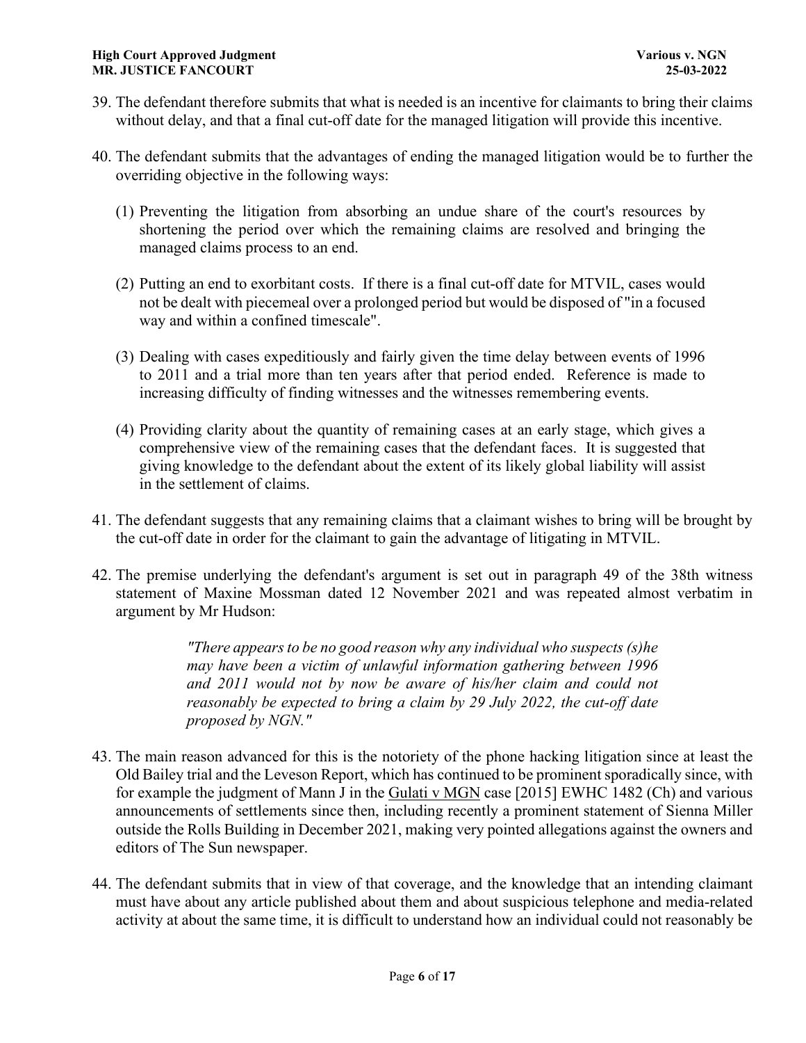- 39. The defendant therefore submits that what is needed is an incentive for claimants to bring their claims without delay, and that a final cut-off date for the managed litigation will provide this incentive.
- 40. The defendant submits that the advantages of ending the managed litigation would be to further the overriding objective in the following ways:
	- (1) Preventing the litigation from absorbing an undue share of the court's resources by shortening the period over which the remaining claims are resolved and bringing the managed claims process to an end.
	- (2) Putting an end to exorbitant costs. If there is a final cut-off date for MTVIL, cases would not be dealt with piecemeal over a prolonged period but would be disposed of "in a focused way and within a confined timescale".
	- (3) Dealing with cases expeditiously and fairly given the time delay between events of 1996 to 2011 and a trial more than ten years after that period ended. Reference is made to increasing difficulty of finding witnesses and the witnesses remembering events.
	- (4) Providing clarity about the quantity of remaining cases at an early stage, which gives a comprehensive view of the remaining cases that the defendant faces. It is suggested that giving knowledge to the defendant about the extent of its likely global liability will assist in the settlement of claims.
- 41. The defendant suggests that any remaining claims that a claimant wishes to bring will be brought by the cut-off date in order for the claimant to gain the advantage of litigating in MTVIL.
- 42. The premise underlying the defendant's argument is set out in paragraph 49 of the 38th witness statement of Maxine Mossman dated 12 November 2021 and was repeated almost verbatim in argument by Mr Hudson:

*"There appears to be no good reason why any individual who suspects (s)he may have been a victim of unlawful information gathering between 1996 and 2011 would not by now be aware of his/her claim and could not reasonably be expected to bring a claim by 29 July 2022, the cut-off date proposed by NGN."* 

- 43. The main reason advanced for this is the notoriety of the phone hacking litigation since at least the Old Bailey trial and the Leveson Report, which has continued to be prominent sporadically since, with for example the judgment of Mann J in the Gulati v MGN case [2015] EWHC 1482 (Ch) and various announcements of settlements since then, including recently a prominent statement of Sienna Miller outside the Rolls Building in December 2021, making very pointed allegations against the owners and editors of The Sun newspaper.
- 44. The defendant submits that in view of that coverage, and the knowledge that an intending claimant must have about any article published about them and about suspicious telephone and media-related activity at about the same time, it is difficult to understand how an individual could not reasonably be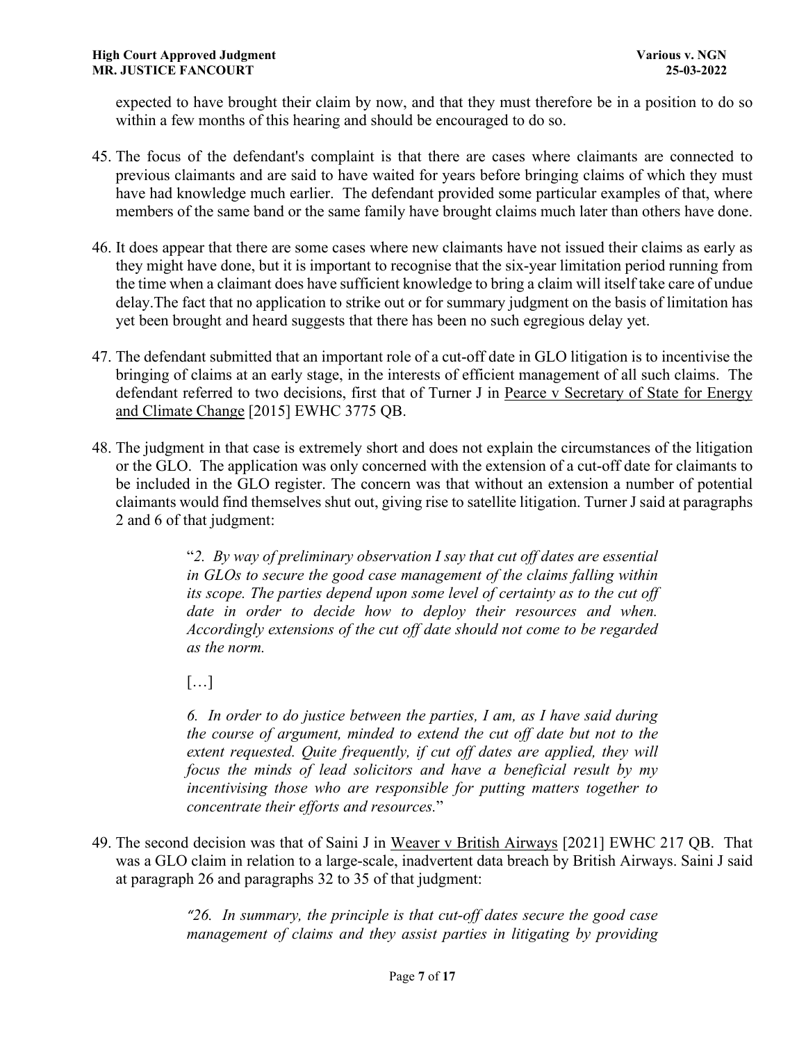expected to have brought their claim by now, and that they must therefore be in a position to do so within a few months of this hearing and should be encouraged to do so.

- 45. The focus of the defendant's complaint is that there are cases where claimants are connected to previous claimants and are said to have waited for years before bringing claims of which they must have had knowledge much earlier. The defendant provided some particular examples of that, where members of the same band or the same family have brought claims much later than others have done.
- 46. It does appear that there are some cases where new claimants have not issued their claims as early as they might have done, but it is important to recognise that the six-year limitation period running from the time when a claimant does have sufficient knowledge to bring a claim will itself take care of undue delay.The fact that no application to strike out or for summary judgment on the basis of limitation has yet been brought and heard suggests that there has been no such egregious delay yet.
- 47. The defendant submitted that an important role of a cut-off date in GLO litigation is to incentivise the bringing of claims at an early stage, in the interests of efficient management of all such claims. The defendant referred to two decisions, first that of Turner J in Pearce v Secretary of State for Energy and Climate Change [2015] EWHC 3775 QB.
- 48. The judgment in that case is extremely short and does not explain the circumstances of the litigation or the GLO. The application was only concerned with the extension of a cut-off date for claimants to be included in the GLO register. The concern was that without an extension a number of potential claimants would find themselves shut out, giving rise to satellite litigation. Turner J said at paragraphs 2 and 6 of that judgment:

"*2. By way of preliminary observation I say that cut off dates are essential in GLOs to secure the good case management of the claims falling within its scope. The parties depend upon some level of certainty as to the cut off date in order to decide how to deploy their resources and when. Accordingly extensions of the cut off date should not come to be regarded as the norm.* 

 $[\dots]$ 

*6. In order to do justice between the parties, I am, as I have said during the course of argument, minded to extend the cut off date but not to the extent requested. Quite frequently, if cut off dates are applied, they will focus the minds of lead solicitors and have a beneficial result by my incentivising those who are responsible for putting matters together to concentrate their efforts and resources.*"

49. The second decision was that of Saini J in Weaver v British Airways [2021] EWHC 217 QB. That was a GLO claim in relation to a large-scale, inadvertent data breach by British Airways. Saini J said at paragraph 26 and paragraphs 32 to 35 of that judgment:

> *"26. In summary, the principle is that cut-off dates secure the good case management of claims and they assist parties in litigating by providing*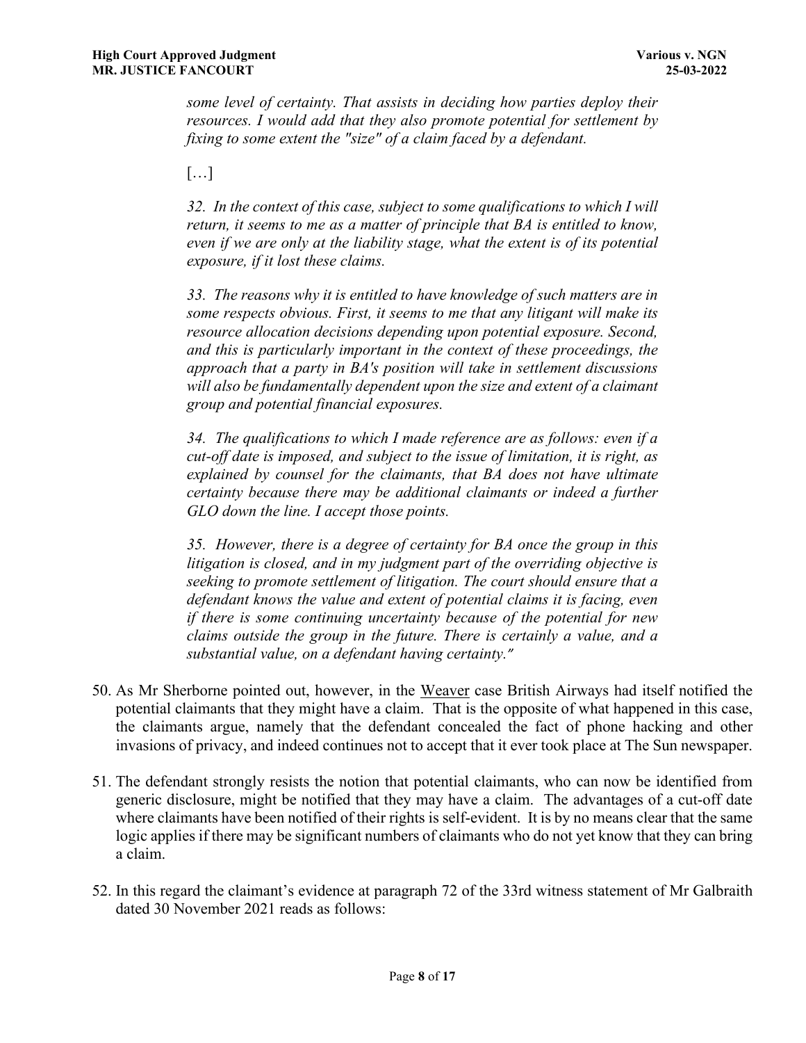*some level of certainty. That assists in deciding how parties deploy their resources. I would add that they also promote potential for settlement by fixing to some extent the "size" of a claim faced by a defendant.* 

[…]

*32. In the context of this case, subject to some qualifications to which I will return, it seems to me as a matter of principle that BA is entitled to know, even if we are only at the liability stage, what the extent is of its potential exposure, if it lost these claims.*

*33. The reasons why it is entitled to have knowledge of such matters are in some respects obvious. First, it seems to me that any litigant will make its resource allocation decisions depending upon potential exposure. Second, and this is particularly important in the context of these proceedings, the approach that a party in BA's position will take in settlement discussions will also be fundamentally dependent upon the size and extent of a claimant group and potential financial exposures.* 

*34. The qualifications to which I made reference are as follows: even if a cut-off date is imposed, and subject to the issue of limitation, it is right, as explained by counsel for the claimants, that BA does not have ultimate certainty because there may be additional claimants or indeed a further GLO down the line. I accept those points.* 

*35. However, there is a degree of certainty for BA once the group in this litigation is closed, and in my judgment part of the overriding objective is seeking to promote settlement of litigation. The court should ensure that a defendant knows the value and extent of potential claims it is facing, even if there is some continuing uncertainty because of the potential for new claims outside the group in the future. There is certainly a value, and a substantial value, on a defendant having certainty."*

- 50. As Mr Sherborne pointed out, however, in the Weaver case British Airways had itself notified the potential claimants that they might have a claim. That is the opposite of what happened in this case, the claimants argue, namely that the defendant concealed the fact of phone hacking and other invasions of privacy, and indeed continues not to accept that it ever took place at The Sun newspaper.
- 51. The defendant strongly resists the notion that potential claimants, who can now be identified from generic disclosure, might be notified that they may have a claim. The advantages of a cut-off date where claimants have been notified of their rights is self-evident. It is by no means clear that the same logic applies if there may be significant numbers of claimants who do not yet know that they can bring a claim.
- 52. In this regard the claimant's evidence at paragraph 72 of the 33rd witness statement of Mr Galbraith dated 30 November 2021 reads as follows: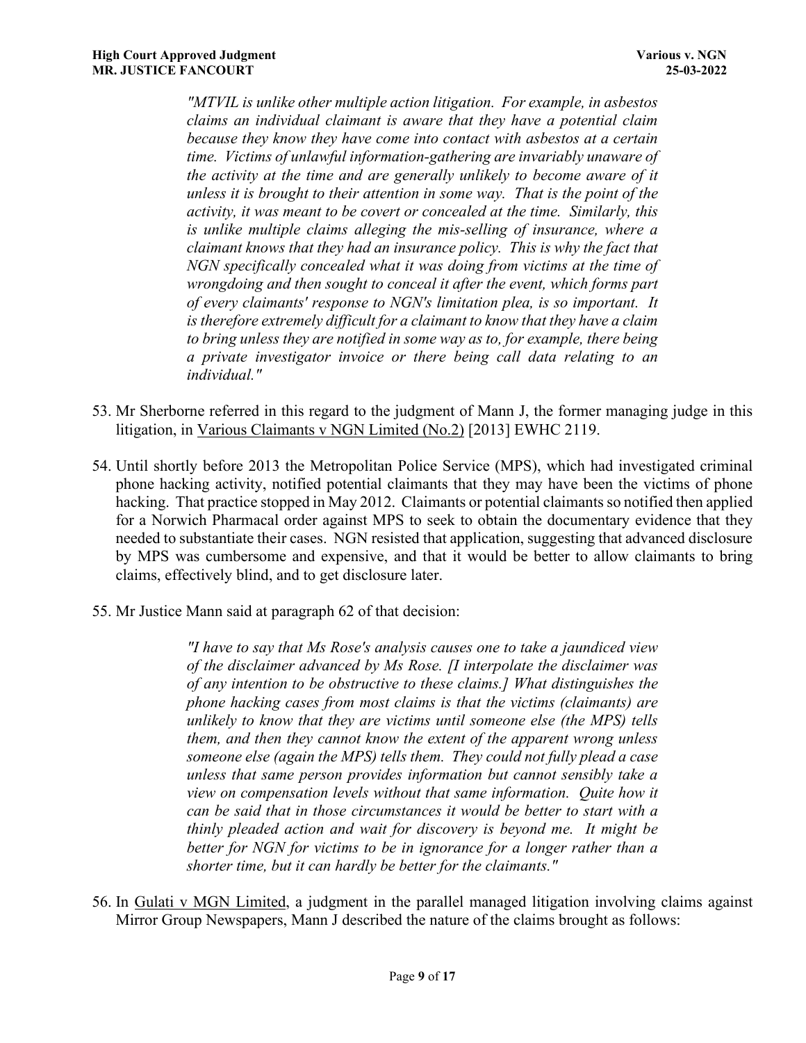*"MTVIL is unlike other multiple action litigation. For example, in asbestos claims an individual claimant is aware that they have a potential claim because they know they have come into contact with asbestos at a certain time. Victims of unlawful information-gathering are invariably unaware of the activity at the time and are generally unlikely to become aware of it unless it is brought to their attention in some way. That is the point of the activity, it was meant to be covert or concealed at the time. Similarly, this is unlike multiple claims alleging the mis-selling of insurance, where a claimant knows that they had an insurance policy. This is why the fact that NGN specifically concealed what it was doing from victims at the time of wrongdoing and then sought to conceal it after the event, which forms part of every claimants' response to NGN's limitation plea, is so important. It is therefore extremely difficult for a claimant to know that they have a claim to bring unless they are notified in some way as to, for example, there being a private investigator invoice or there being call data relating to an individual."* 

- 53. Mr Sherborne referred in this regard to the judgment of Mann J, the former managing judge in this litigation, in Various Claimants v NGN Limited (No.2) [2013] EWHC 2119.
- 54. Until shortly before 2013 the Metropolitan Police Service (MPS), which had investigated criminal phone hacking activity, notified potential claimants that they may have been the victims of phone hacking. That practice stopped in May 2012. Claimants or potential claimants so notified then applied for a Norwich Pharmacal order against MPS to seek to obtain the documentary evidence that they needed to substantiate their cases. NGN resisted that application, suggesting that advanced disclosure by MPS was cumbersome and expensive, and that it would be better to allow claimants to bring claims, effectively blind, and to get disclosure later.
- 55. Mr Justice Mann said at paragraph 62 of that decision:

*"I have to say that Ms Rose's analysis causes one to take a jaundiced view of the disclaimer advanced by Ms Rose. [I interpolate the disclaimer was of any intention to be obstructive to these claims.] What distinguishes the phone hacking cases from most claims is that the victims (claimants) are unlikely to know that they are victims until someone else (the MPS) tells them, and then they cannot know the extent of the apparent wrong unless someone else (again the MPS) tells them. They could not fully plead a case unless that same person provides information but cannot sensibly take a view on compensation levels without that same information. Quite how it can be said that in those circumstances it would be better to start with a thinly pleaded action and wait for discovery is beyond me. It might be better for NGN for victims to be in ignorance for a longer rather than a shorter time, but it can hardly be better for the claimants."* 

56. In Gulati v MGN Limited, a judgment in the parallel managed litigation involving claims against Mirror Group Newspapers, Mann J described the nature of the claims brought as follows: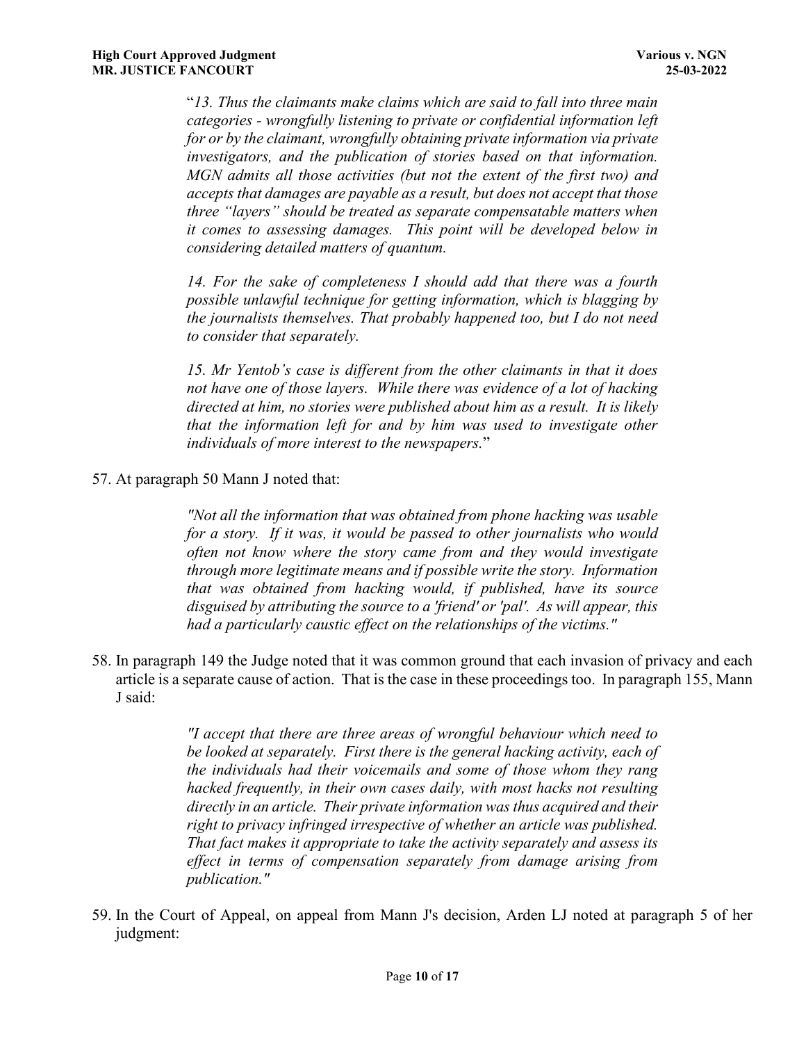"*13. Thus the claimants make claims which are said to fall into three main categories - wrongfully listening to private or confidential information left for or by the claimant, wrongfully obtaining private information via private investigators, and the publication of stories based on that information. MGN admits all those activities (but not the extent of the first two) and accepts that damages are payable as a result, but does not accept that those three "layers" should be treated as separate compensatable matters when it comes to assessing damages. This point will be developed below in considering detailed matters of quantum.* 

*14. For the sake of completeness I should add that there was a fourth possible unlawful technique for getting information, which is blagging by the journalists themselves. That probably happened too, but I do not need to consider that separately.* 

*15. Mr Yentob's case is different from the other claimants in that it does not have one of those layers. While there was evidence of a lot of hacking directed at him, no stories were published about him as a result. It is likely that the information left for and by him was used to investigate other individuals of more interest to the newspapers.*"

57. At paragraph 50 Mann J noted that:

*"Not all the information that was obtained from phone hacking was usable for a story. If it was, it would be passed to other journalists who would often not know where the story came from and they would investigate through more legitimate means and if possible write the story. Information that was obtained from hacking would, if published, have its source disguised by attributing the source to a 'friend' or 'pal'. As will appear, this had a particularly caustic effect on the relationships of the victims."*

58. In paragraph 149 the Judge noted that it was common ground that each invasion of privacy and each article is a separate cause of action. That is the case in these proceedings too. In paragraph 155, Mann J said:

> *"I accept that there are three areas of wrongful behaviour which need to be looked at separately. First there is the general hacking activity, each of the individuals had their voicemails and some of those whom they rang hacked frequently, in their own cases daily, with most hacks not resulting directly in an article. Their private information was thus acquired and their right to privacy infringed irrespective of whether an article was published. That fact makes it appropriate to take the activity separately and assess its effect in terms of compensation separately from damage arising from publication."*

59. In the Court of Appeal, on appeal from Mann J's decision, Arden LJ noted at paragraph 5 of her judgment: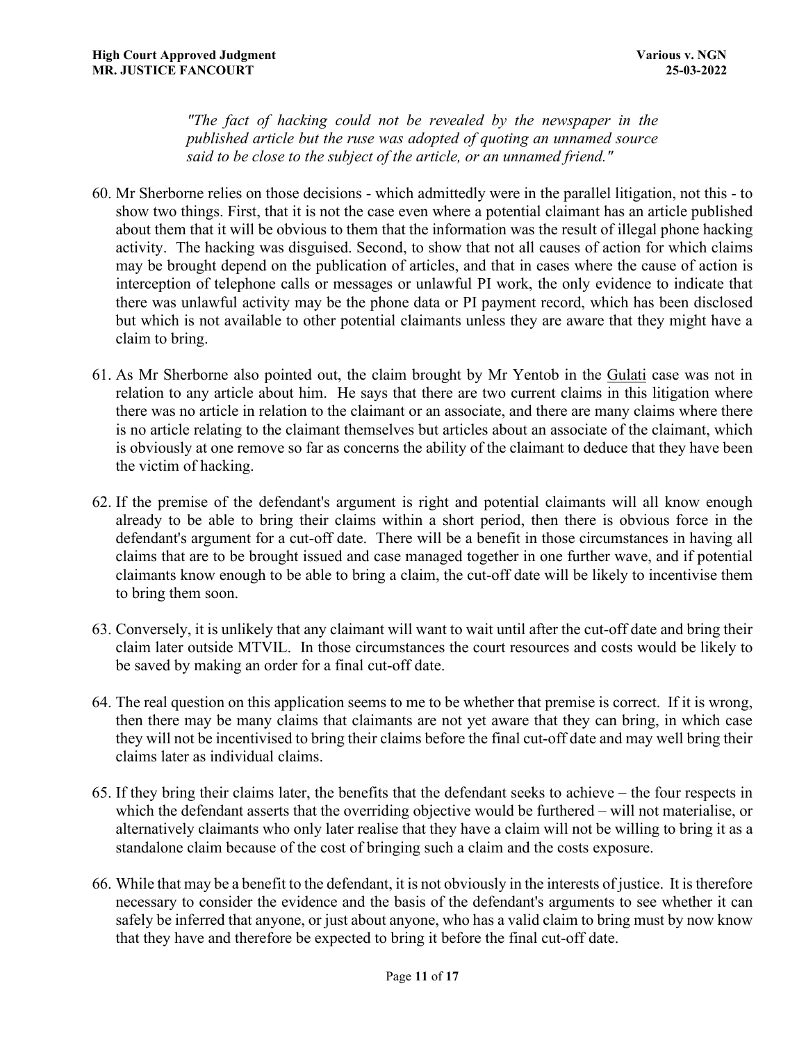*"The fact of hacking could not be revealed by the newspaper in the published article but the ruse was adopted of quoting an unnamed source said to be close to the subject of the article, or an unnamed friend."* 

- 60. Mr Sherborne relies on those decisions which admittedly were in the parallel litigation, not this to show two things. First, that it is not the case even where a potential claimant has an article published about them that it will be obvious to them that the information was the result of illegal phone hacking activity. The hacking was disguised. Second, to show that not all causes of action for which claims may be brought depend on the publication of articles, and that in cases where the cause of action is interception of telephone calls or messages or unlawful PI work, the only evidence to indicate that there was unlawful activity may be the phone data or PI payment record, which has been disclosed but which is not available to other potential claimants unless they are aware that they might have a claim to bring.
- 61. As Mr Sherborne also pointed out, the claim brought by Mr Yentob in the Gulati case was not in relation to any article about him. He says that there are two current claims in this litigation where there was no article in relation to the claimant or an associate, and there are many claims where there is no article relating to the claimant themselves but articles about an associate of the claimant, which is obviously at one remove so far as concerns the ability of the claimant to deduce that they have been the victim of hacking.
- 62. If the premise of the defendant's argument is right and potential claimants will all know enough already to be able to bring their claims within a short period, then there is obvious force in the defendant's argument for a cut-off date. There will be a benefit in those circumstances in having all claims that are to be brought issued and case managed together in one further wave, and if potential claimants know enough to be able to bring a claim, the cut-off date will be likely to incentivise them to bring them soon.
- 63. Conversely, it is unlikely that any claimant will want to wait until after the cut-off date and bring their claim later outside MTVIL. In those circumstances the court resources and costs would be likely to be saved by making an order for a final cut-off date.
- 64. The real question on this application seems to me to be whether that premise is correct. If it is wrong, then there may be many claims that claimants are not yet aware that they can bring, in which case they will not be incentivised to bring their claims before the final cut-off date and may well bring their claims later as individual claims.
- 65. If they bring their claims later, the benefits that the defendant seeks to achieve the four respects in which the defendant asserts that the overriding objective would be furthered – will not materialise, or alternatively claimants who only later realise that they have a claim will not be willing to bring it as a standalone claim because of the cost of bringing such a claim and the costs exposure.
- 66. While that may be a benefit to the defendant, it is not obviously in the interests of justice. It is therefore necessary to consider the evidence and the basis of the defendant's arguments to see whether it can safely be inferred that anyone, or just about anyone, who has a valid claim to bring must by now know that they have and therefore be expected to bring it before the final cut-off date.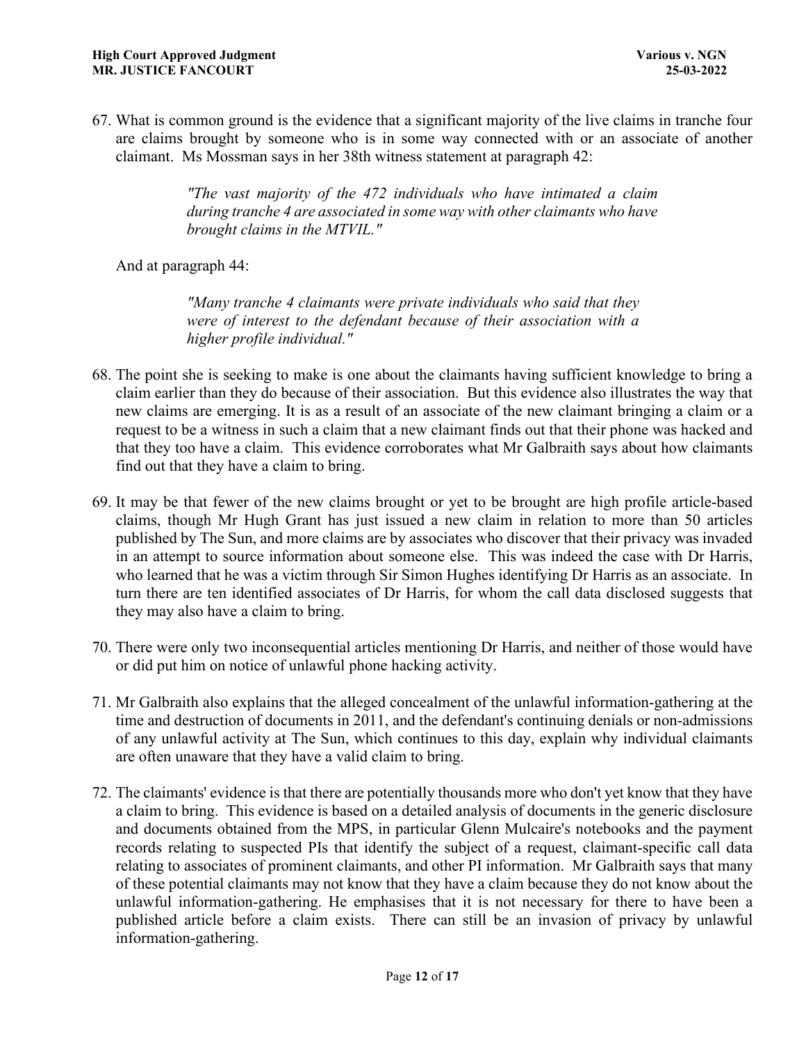67. What is common ground is the evidence that a significant majority of the live claims in tranche four are claims brought by someone who is in some way connected with or an associate of another claimant. Ms Mossman says in her 38th witness statement at paragraph 42:

> *"The vast majority of the 472 individuals who have intimated a claim during tranche 4 are associated in some way with other claimants who have brought claims in the MTVIL."*

And at paragraph 44:

*"Many tranche 4 claimants were private individuals who said that they were of interest to the defendant because of their association with a higher profile individual."*

- 68. The point she is seeking to make is one about the claimants having sufficient knowledge to bring a claim earlier than they do because of their association. But this evidence also illustrates the way that new claims are emerging. It is as a result of an associate of the new claimant bringing a claim or a request to be a witness in such a claim that a new claimant finds out that their phone was hacked and that they too have a claim. This evidence corroborates what Mr Galbraith says about how claimants find out that they have a claim to bring.
- 69. It may be that fewer of the new claims brought or yet to be brought are high profile article-based claims, though Mr Hugh Grant has just issued a new claim in relation to more than 50 articles published by The Sun, and more claims are by associates who discover that their privacy was invaded in an attempt to source information about someone else. This was indeed the case with Dr Harris, who learned that he was a victim through Sir Simon Hughes identifying Dr Harris as an associate. In turn there are ten identified associates of Dr Harris, for whom the call data disclosed suggests that they may also have a claim to bring.
- 70. There were only two inconsequential articles mentioning Dr Harris, and neither of those would have or did put him on notice of unlawful phone hacking activity.
- 71. Mr Galbraith also explains that the alleged concealment of the unlawful information-gathering at the time and destruction of documents in 2011, and the defendant's continuing denials or non-admissions of any unlawful activity at The Sun, which continues to this day, explain why individual claimants are often unaware that they have a valid claim to bring.
- 72. The claimants' evidence is that there are potentially thousands more who don't yet know that they have a claim to bring. This evidence is based on a detailed analysis of documents in the generic disclosure and documents obtained from the MPS, in particular Glenn Mulcaire's notebooks and the payment records relating to suspected PIs that identify the subject of a request, claimant-specific call data relating to associates of prominent claimants, and other PI information. Mr Galbraith says that many of these potential claimants may not know that they have a claim because they do not know about the unlawful information-gathering. He emphasises that it is not necessary for there to have been a published article before a claim exists. There can still be an invasion of privacy by unlawful information-gathering.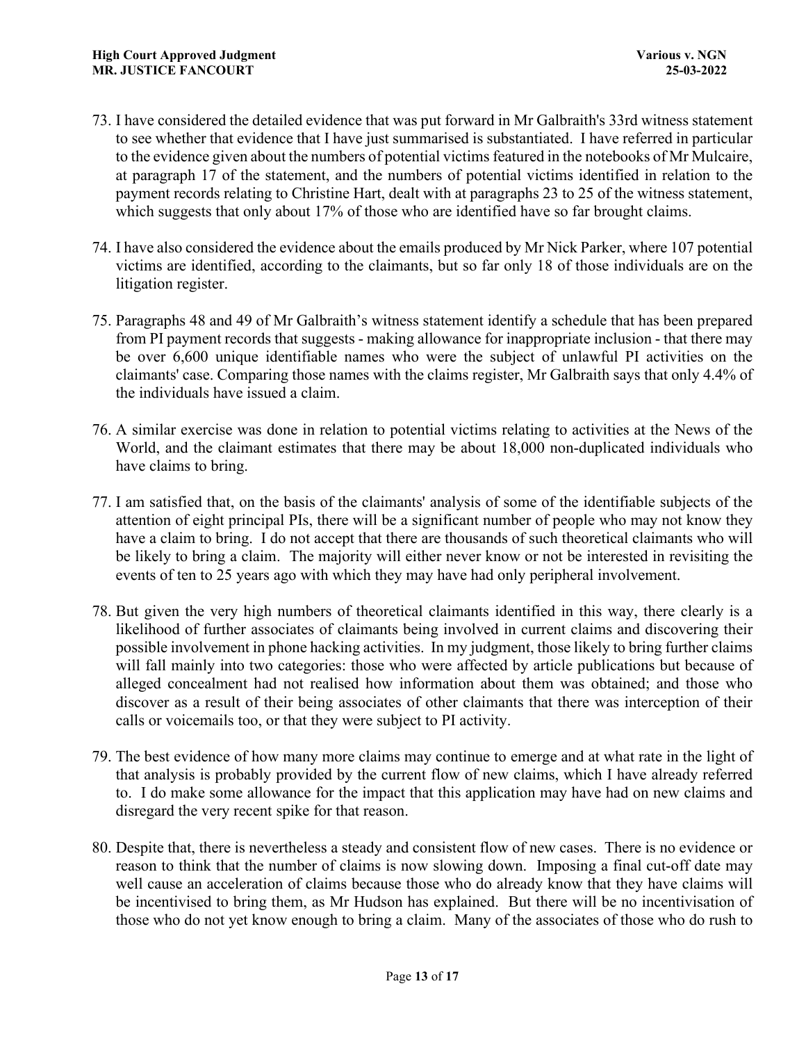- 73. I have considered the detailed evidence that was put forward in Mr Galbraith's 33rd witness statement to see whether that evidence that I have just summarised is substantiated. I have referred in particular to the evidence given about the numbers of potential victims featured in the notebooks of Mr Mulcaire, at paragraph 17 of the statement, and the numbers of potential victims identified in relation to the payment records relating to Christine Hart, dealt with at paragraphs 23 to 25 of the witness statement, which suggests that only about 17% of those who are identified have so far brought claims.
- 74. I have also considered the evidence about the emails produced by Mr Nick Parker, where 107 potential victims are identified, according to the claimants, but so far only 18 of those individuals are on the litigation register.
- 75. Paragraphs 48 and 49 of Mr Galbraith's witness statement identify a schedule that has been prepared from PI payment records that suggests - making allowance for inappropriate inclusion - that there may be over 6,600 unique identifiable names who were the subject of unlawful PI activities on the claimants' case. Comparing those names with the claims register, Mr Galbraith says that only 4.4% of the individuals have issued a claim.
- 76. A similar exercise was done in relation to potential victims relating to activities at the News of the World, and the claimant estimates that there may be about 18,000 non-duplicated individuals who have claims to bring.
- 77. I am satisfied that, on the basis of the claimants' analysis of some of the identifiable subjects of the attention of eight principal PIs, there will be a significant number of people who may not know they have a claim to bring. I do not accept that there are thousands of such theoretical claimants who will be likely to bring a claim. The majority will either never know or not be interested in revisiting the events of ten to 25 years ago with which they may have had only peripheral involvement.
- 78. But given the very high numbers of theoretical claimants identified in this way, there clearly is a likelihood of further associates of claimants being involved in current claims and discovering their possible involvement in phone hacking activities. In my judgment, those likely to bring further claims will fall mainly into two categories: those who were affected by article publications but because of alleged concealment had not realised how information about them was obtained; and those who discover as a result of their being associates of other claimants that there was interception of their calls or voicemails too, or that they were subject to PI activity.
- 79. The best evidence of how many more claims may continue to emerge and at what rate in the light of that analysis is probably provided by the current flow of new claims, which I have already referred to. I do make some allowance for the impact that this application may have had on new claims and disregard the very recent spike for that reason.
- 80. Despite that, there is nevertheless a steady and consistent flow of new cases. There is no evidence or reason to think that the number of claims is now slowing down. Imposing a final cut-off date may well cause an acceleration of claims because those who do already know that they have claims will be incentivised to bring them, as Mr Hudson has explained. But there will be no incentivisation of those who do not yet know enough to bring a claim. Many of the associates of those who do rush to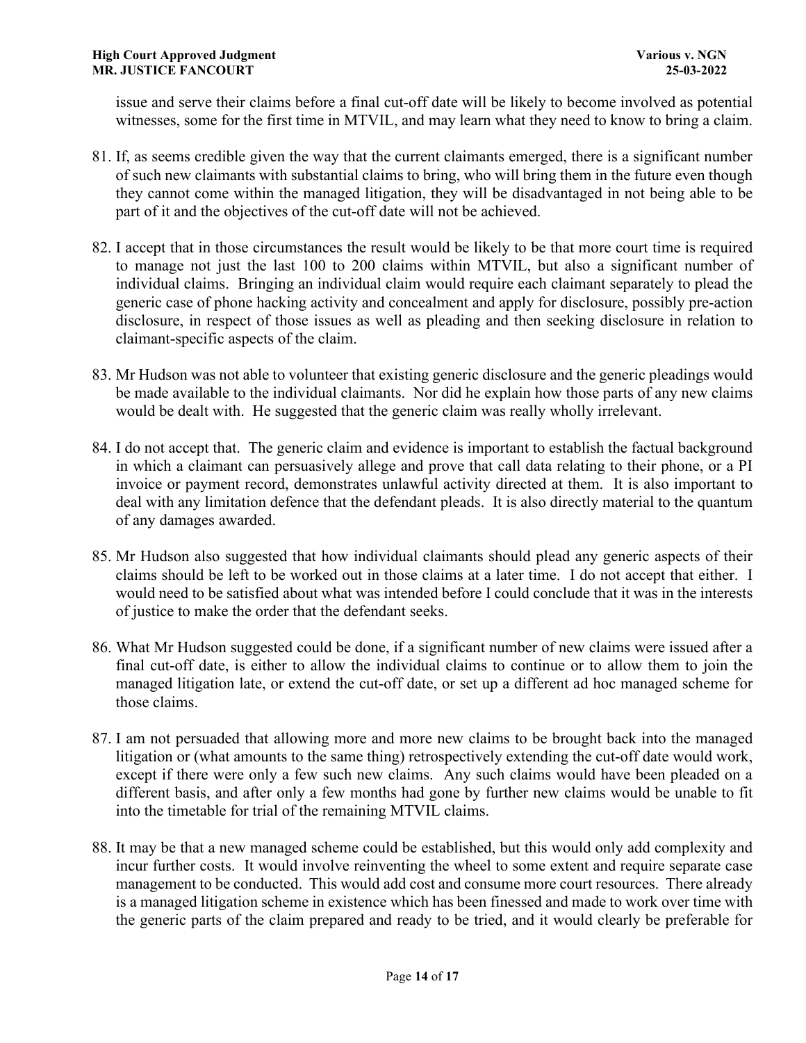issue and serve their claims before a final cut-off date will be likely to become involved as potential witnesses, some for the first time in MTVIL, and may learn what they need to know to bring a claim.

- 81. If, as seems credible given the way that the current claimants emerged, there is a significant number of such new claimants with substantial claims to bring, who will bring them in the future even though they cannot come within the managed litigation, they will be disadvantaged in not being able to be part of it and the objectives of the cut-off date will not be achieved.
- 82. I accept that in those circumstances the result would be likely to be that more court time is required to manage not just the last 100 to 200 claims within MTVIL, but also a significant number of individual claims. Bringing an individual claim would require each claimant separately to plead the generic case of phone hacking activity and concealment and apply for disclosure, possibly pre-action disclosure, in respect of those issues as well as pleading and then seeking disclosure in relation to claimant-specific aspects of the claim.
- 83. Mr Hudson was not able to volunteer that existing generic disclosure and the generic pleadings would be made available to the individual claimants. Nor did he explain how those parts of any new claims would be dealt with. He suggested that the generic claim was really wholly irrelevant.
- 84. I do not accept that. The generic claim and evidence is important to establish the factual background in which a claimant can persuasively allege and prove that call data relating to their phone, or a PI invoice or payment record, demonstrates unlawful activity directed at them. It is also important to deal with any limitation defence that the defendant pleads. It is also directly material to the quantum of any damages awarded.
- 85. Mr Hudson also suggested that how individual claimants should plead any generic aspects of their claims should be left to be worked out in those claims at a later time. I do not accept that either. I would need to be satisfied about what was intended before I could conclude that it was in the interests of justice to make the order that the defendant seeks.
- 86. What Mr Hudson suggested could be done, if a significant number of new claims were issued after a final cut-off date, is either to allow the individual claims to continue or to allow them to join the managed litigation late, or extend the cut-off date, or set up a different ad hoc managed scheme for those claims.
- 87. I am not persuaded that allowing more and more new claims to be brought back into the managed litigation or (what amounts to the same thing) retrospectively extending the cut-off date would work, except if there were only a few such new claims. Any such claims would have been pleaded on a different basis, and after only a few months had gone by further new claims would be unable to fit into the timetable for trial of the remaining MTVIL claims.
- 88. It may be that a new managed scheme could be established, but this would only add complexity and incur further costs. It would involve reinventing the wheel to some extent and require separate case management to be conducted. This would add cost and consume more court resources. There already is a managed litigation scheme in existence which has been finessed and made to work over time with the generic parts of the claim prepared and ready to be tried, and it would clearly be preferable for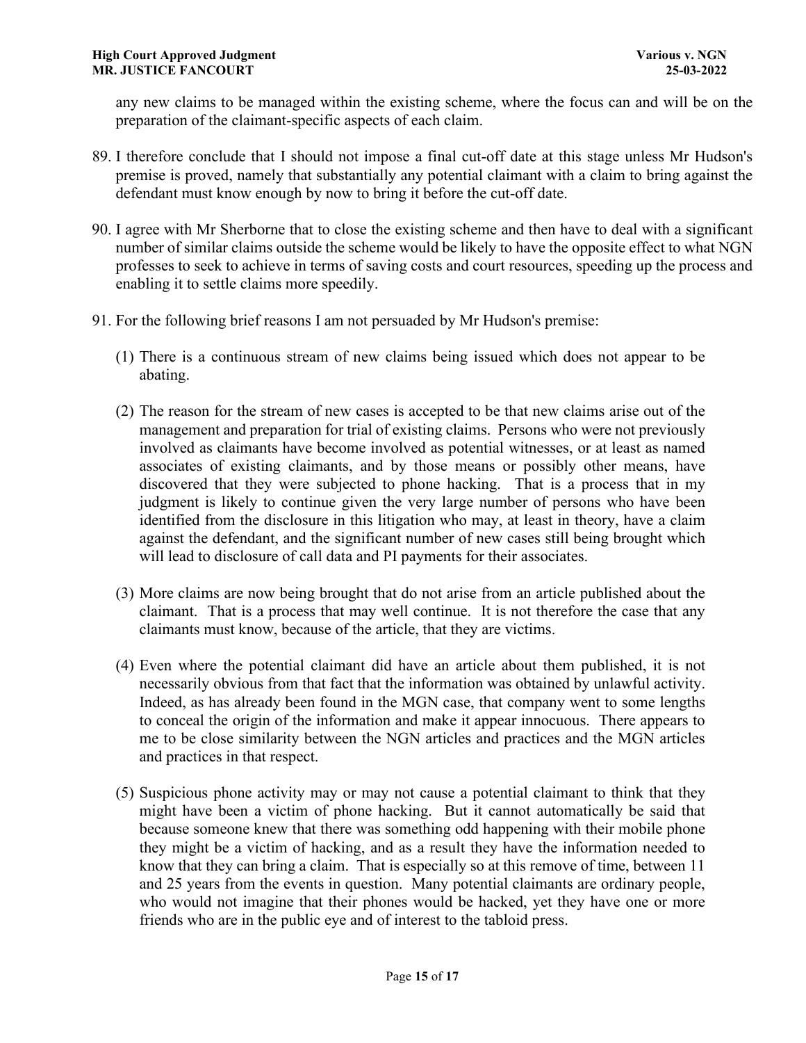any new claims to be managed within the existing scheme, where the focus can and will be on the preparation of the claimant-specific aspects of each claim.

- 89. I therefore conclude that I should not impose a final cut-off date at this stage unless Mr Hudson's premise is proved, namely that substantially any potential claimant with a claim to bring against the defendant must know enough by now to bring it before the cut-off date.
- 90. I agree with Mr Sherborne that to close the existing scheme and then have to deal with a significant number of similar claims outside the scheme would be likely to have the opposite effect to what NGN professes to seek to achieve in terms of saving costs and court resources, speeding up the process and enabling it to settle claims more speedily.
- 91. For the following brief reasons I am not persuaded by Mr Hudson's premise:
	- (1) There is a continuous stream of new claims being issued which does not appear to be abating.
	- (2) The reason for the stream of new cases is accepted to be that new claims arise out of the management and preparation for trial of existing claims. Persons who were not previously involved as claimants have become involved as potential witnesses, or at least as named associates of existing claimants, and by those means or possibly other means, have discovered that they were subjected to phone hacking. That is a process that in my judgment is likely to continue given the very large number of persons who have been identified from the disclosure in this litigation who may, at least in theory, have a claim against the defendant, and the significant number of new cases still being brought which will lead to disclosure of call data and PI payments for their associates.
	- (3) More claims are now being brought that do not arise from an article published about the claimant. That is a process that may well continue. It is not therefore the case that any claimants must know, because of the article, that they are victims.
	- (4) Even where the potential claimant did have an article about them published, it is not necessarily obvious from that fact that the information was obtained by unlawful activity. Indeed, as has already been found in the MGN case, that company went to some lengths to conceal the origin of the information and make it appear innocuous. There appears to me to be close similarity between the NGN articles and practices and the MGN articles and practices in that respect.
	- (5) Suspicious phone activity may or may not cause a potential claimant to think that they might have been a victim of phone hacking. But it cannot automatically be said that because someone knew that there was something odd happening with their mobile phone they might be a victim of hacking, and as a result they have the information needed to know that they can bring a claim. That is especially so at this remove of time, between 11 and 25 years from the events in question. Many potential claimants are ordinary people, who would not imagine that their phones would be hacked, yet they have one or more friends who are in the public eye and of interest to the tabloid press.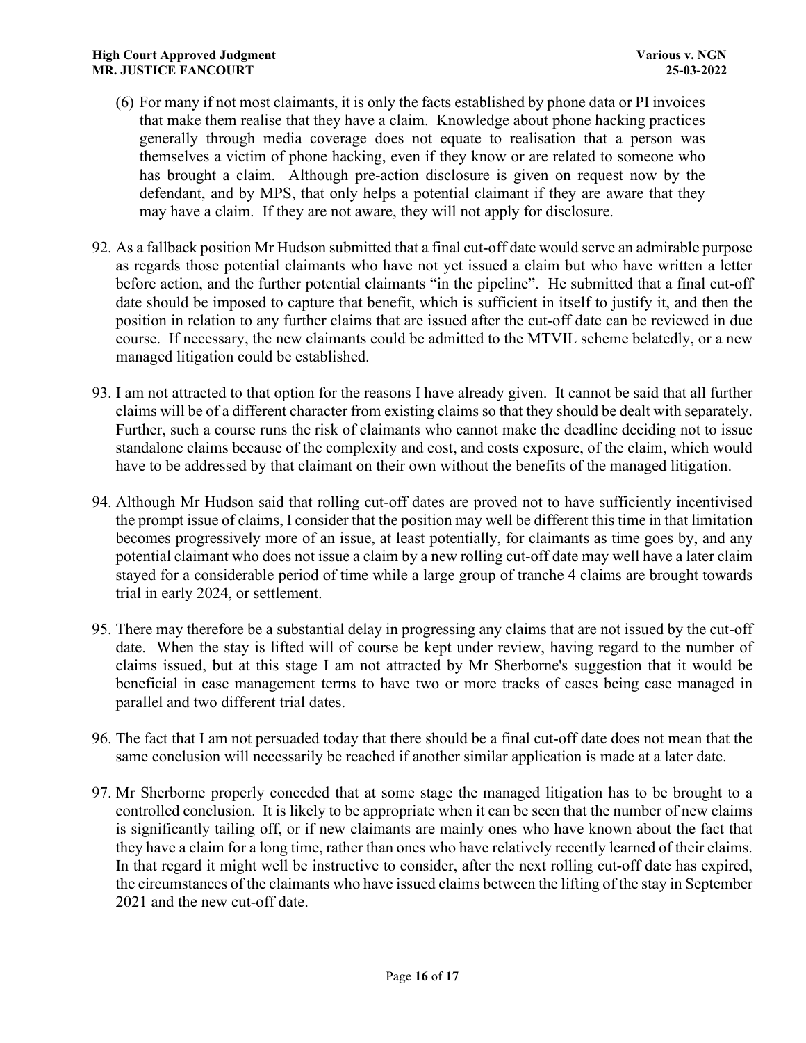- (6) For many if not most claimants, it is only the facts established by phone data or PI invoices that make them realise that they have a claim. Knowledge about phone hacking practices generally through media coverage does not equate to realisation that a person was themselves a victim of phone hacking, even if they know or are related to someone who has brought a claim. Although pre-action disclosure is given on request now by the defendant, and by MPS, that only helps a potential claimant if they are aware that they may have a claim. If they are not aware, they will not apply for disclosure.
- 92. As a fallback position Mr Hudson submitted that a final cut-off date would serve an admirable purpose as regards those potential claimants who have not yet issued a claim but who have written a letter before action, and the further potential claimants "in the pipeline". He submitted that a final cut-off date should be imposed to capture that benefit, which is sufficient in itself to justify it, and then the position in relation to any further claims that are issued after the cut-off date can be reviewed in due course. If necessary, the new claimants could be admitted to the MTVIL scheme belatedly, or a new managed litigation could be established.
- 93. I am not attracted to that option for the reasons I have already given. It cannot be said that all further claims will be of a different character from existing claims so that they should be dealt with separately. Further, such a course runs the risk of claimants who cannot make the deadline deciding not to issue standalone claims because of the complexity and cost, and costs exposure, of the claim, which would have to be addressed by that claimant on their own without the benefits of the managed litigation.
- 94. Although Mr Hudson said that rolling cut-off dates are proved not to have sufficiently incentivised the prompt issue of claims, I consider that the position may well be different this time in that limitation becomes progressively more of an issue, at least potentially, for claimants as time goes by, and any potential claimant who does not issue a claim by a new rolling cut-off date may well have a later claim stayed for a considerable period of time while a large group of tranche 4 claims are brought towards trial in early 2024, or settlement.
- 95. There may therefore be a substantial delay in progressing any claims that are not issued by the cut-off date. When the stay is lifted will of course be kept under review, having regard to the number of claims issued, but at this stage I am not attracted by Mr Sherborne's suggestion that it would be beneficial in case management terms to have two or more tracks of cases being case managed in parallel and two different trial dates.
- 96. The fact that I am not persuaded today that there should be a final cut-off date does not mean that the same conclusion will necessarily be reached if another similar application is made at a later date.
- 97. Mr Sherborne properly conceded that at some stage the managed litigation has to be brought to a controlled conclusion. It is likely to be appropriate when it can be seen that the number of new claims is significantly tailing off, or if new claimants are mainly ones who have known about the fact that they have a claim for a long time, rather than ones who have relatively recently learned of their claims. In that regard it might well be instructive to consider, after the next rolling cut-off date has expired, the circumstances of the claimants who have issued claims between the lifting of the stay in September 2021 and the new cut-off date.